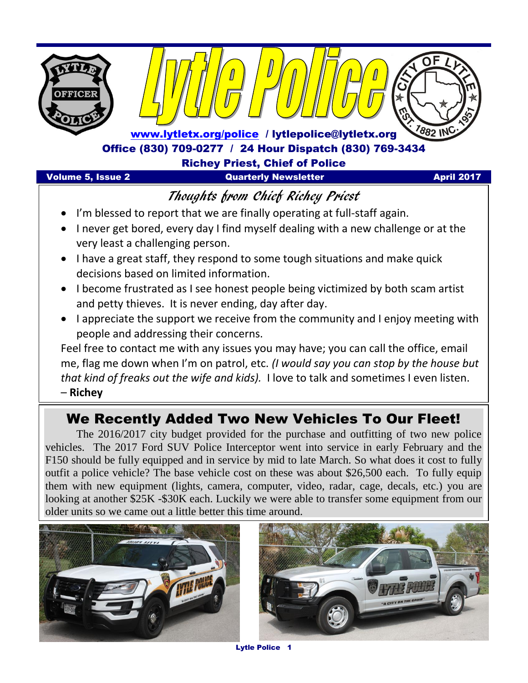

### Thoughts from Chief Richey Priest

- I'm blessed to report that we are finally operating at full-staff again.
- I never get bored, every day I find myself dealing with a new challenge or at the very least a challenging person.
- I have a great staff, they respond to some tough situations and make quick decisions based on limited information.
- I become frustrated as I see honest people being victimized by both scam artist and petty thieves. It is never ending, day after day.
- I appreciate the support we receive from the community and I enjoy meeting with people and addressing their concerns.

Feel free to contact me with any issues you may have; you can call the office, email me, flag me down when I'm on patrol, etc. *(I would say you can stop by the house but that kind of freaks out the wife and kids).* I love to talk and sometimes I even listen.

– **Richey** 

### We Recently Added Two New Vehicles To Our Fleet!

The 2016/2017 city budget provided for the purchase and outfitting of two new police vehicles. The 2017 Ford SUV Police Interceptor went into service in early February and the F150 should be fully equipped and in service by mid to late March. So what does it cost to fully outfit a police vehicle? The base vehicle cost on these was about \$26,500 each. To fully equip them with new equipment (lights, camera, computer, video, radar, cage, decals, etc.) you are looking at another \$25K -\$30K each. Luckily we were able to transfer some equipment from our older units so we came out a little better this time around.





Lytle Police 1